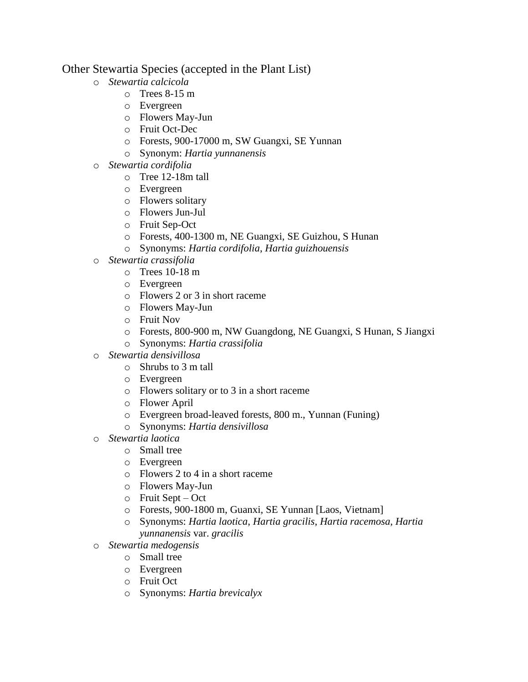## Other Stewartia Species (accepted in the Plant List)

- o *Stewartia calcicola*
	- $\circ$  Trees 8-15 m
		- o Evergreen
		- o Flowers May-Jun
		- o Fruit Oct-Dec
		- o Forests, 900-17000 m, SW Guangxi, SE Yunnan
		- o Synonym: *Hartia yunnanensis*
- o *Stewartia cordifolia* 
	- o Tree 12-18m tall
	- o Evergreen
	- o Flowers solitary
	- o Flowers Jun-Jul
	- o Fruit Sep-Oct
	- o Forests, 400-1300 m, NE Guangxi, SE Guizhou, S Hunan
	- o Synonyms: *Hartia cordifolia*, *Hartia guizhouensis*
- o *Stewartia crassifolia*
	- $\circ$  Trees 10-18 m
	- o Evergreen
	- o Flowers 2 or 3 in short raceme
	- o Flowers May-Jun
	- o Fruit Nov
	- o Forests, 800-900 m, NW Guangdong, NE Guangxi, S Hunan, S Jiangxi
	- o Synonyms: *Hartia crassifolia*
- o *Stewartia densivillosa*
	- o Shrubs to 3 m tall
	- o Evergreen
	- o Flowers solitary or to 3 in a short raceme
	- o Flower April
	- o Evergreen broad-leaved forests, 800 m., Yunnan (Funing)
	- o Synonyms: *Hartia densivillosa*
- o *Stewartia laotica*
	- o Small tree
		- o Evergreen
		- o Flowers 2 to 4 in a short raceme
		- o Flowers May-Jun
		- $\circ$  Fruit Sept Oct
		- o Forests, 900-1800 m, Guanxi, SE Yunnan [Laos, Vietnam]
	- o Synonyms: *Hartia laotica*, *Hartia gracilis*, *Hartia racemosa, Hartia yunnanensis* var. *gracilis*
- o *Stewartia medogensis*
	- o Small tree
	- o Evergreen
	- o Fruit Oct
	- o Synonyms: *Hartia brevicalyx*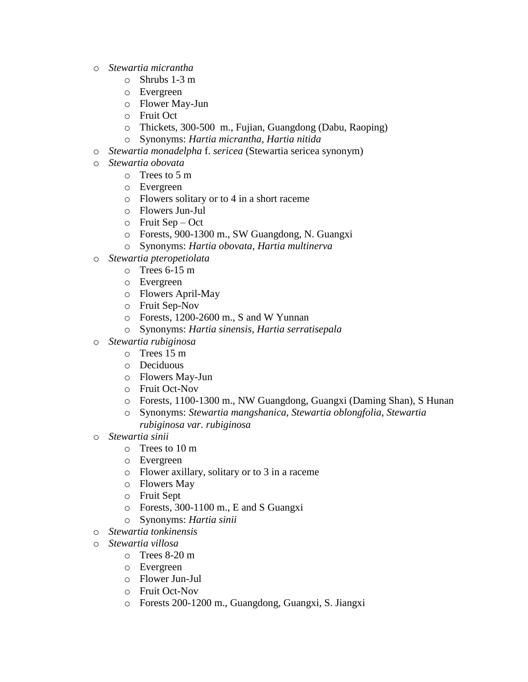- o *Stewartia micrantha*
	- o Shrubs 1-3 m
	- o Evergreen
	- o Flower May-Jun
	- o Fruit Oct
	- o Thickets, 300-500 m., Fujian, Guangdong (Dabu, Raoping)
	- o Synonyms: *Hartia micrantha, Hartia nitida*
- o *Stewartia monadelpha* f. *sericea* (Stewartia sericea synonym)
- o *Stewartia obovata*
	- o Trees to 5 m
	- o Evergreen
	- o Flowers solitary or to 4 in a short raceme
	- o Flowers Jun-Jul
	- o Fruit Sep Oct
	- o Forests, 900-1300 m., SW Guangdong, N. Guangxi
	- o Synonyms: *Hartia obovata*, *Hartia multinerva*
- o *Stewartia pteropetiolata*
	- o Trees 6-15 m
	- o Evergreen
	- o Flowers April-May
	- o Fruit Sep-Nov
	- o Forests, 1200-2600 m., S and W Yunnan
	- o Synonyms: *Hartia sinensis*, *Hartia serratisepala*
- o *Stewartia rubiginosa*
	- o Trees 15 m
	- o Deciduous
	- o Flowers May-Jun
	- o Fruit Oct-Nov
	- o Forests, 1100-1300 m., NW Guangdong, Guangxi (Daming Shan), S Hunan
	- o Synonyms: *Stewartia mangshanica*, *Stewartia oblongfolia*, *Stewartia rubiginosa var. rubiginosa*
- o *Stewartia sinii* 
	- o Trees to 10 m
	- o Evergreen
	- o Flower axillary, solitary or to 3 in a raceme
	- o Flowers May
	- o Fruit Sept
	- o Forests, 300-1100 m., E and S Guangxi
	- o Synonyms: *Hartia sinii*
- o *Stewartia tonkinensis*
- o *Stewartia villosa*
	- o Trees 8-20 m
	- o Evergreen
	- o Flower Jun-Jul
	- o Fruit Oct-Nov
	- o Forests 200-1200 m., Guangdong, Guangxi, S. Jiangxi